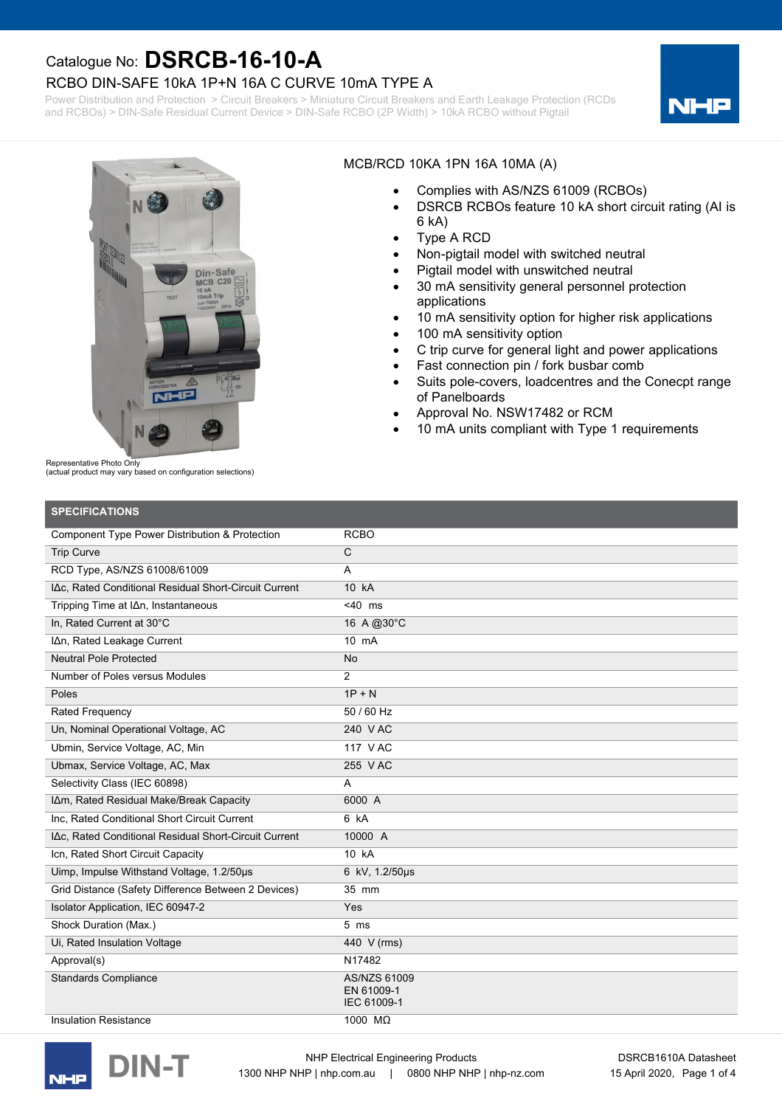### RCBO DIN-SAFE 10kA 1P+N 16A C CURVE 10mA TYPE A

Power Distribution and Protection > Circuit Breakers > Miniature Circuit Breakers and Earth Leakage Protection (RCDs and RCBOs) > DIN-Safe Residual Current Device > DIN-Safe RCBO (2P Width) > 10kA RCBO without Pigtail





#### MCB/RCD 10KA 1PN 16A 10MA (A)

- · Complies with AS/NZS 61009 (RCBOs)
- · DSRCB RCBOs feature 10 kA short circuit rating (AI is 6 kA)
- · Type A RCD
- · Non-pigtail model with switched neutral
- Pigtail model with unswitched neutral
- · 30 mA sensitivity general personnel protection applications
- 10 mA sensitivity option for higher risk applications
- · 100 mA sensitivity option
- · C trip curve for general light and power applications
- Fast connection pin / fork busbar comb
- · Suits pole-covers, loadcentres and the Conecpt range of Panelboards
- Approval No. NSW17482 or RCM
- 10 mA units compliant with Type 1 requirements

Representative Photo Only

(actual product may vary based on configuration selections)

| <b>SPECIFICATIONS</b>                                 |                                           |
|-------------------------------------------------------|-------------------------------------------|
| Component Type Power Distribution & Protection        | <b>RCBO</b>                               |
| <b>Trip Curve</b>                                     | $\mathsf{C}$                              |
| RCD Type, AS/NZS 61008/61009                          | A                                         |
| IΔc. Rated Conditional Residual Short-Circuit Current | 10 kA                                     |
| Tripping Time at I∆n, Instantaneous                   | $<$ 40 ms                                 |
| In, Rated Current at 30°C                             | 16 A @ 30°C                               |
| IAn, Rated Leakage Current                            | 10 mA                                     |
| <b>Neutral Pole Protected</b>                         | <b>No</b>                                 |
| Number of Poles versus Modules                        | $\overline{2}$                            |
| Poles                                                 | $1P + N$                                  |
| <b>Rated Frequency</b>                                | 50 / 60 Hz                                |
| Un, Nominal Operational Voltage, AC                   | 240 V AC                                  |
| Ubmin, Service Voltage, AC, Min                       | 117 V AC                                  |
| Ubmax, Service Voltage, AC, Max                       | 255 V AC                                  |
| Selectivity Class (IEC 60898)                         | A                                         |
| IAm, Rated Residual Make/Break Capacity               | 6000 A                                    |
| Inc, Rated Conditional Short Circuit Current          | 6 kA                                      |
| IAc, Rated Conditional Residual Short-Circuit Current | 10000 A                                   |
| Icn, Rated Short Circuit Capacity                     | 10 kA                                     |
| Uimp, Impulse Withstand Voltage, 1.2/50us             | 6 kV, 1.2/50µs                            |
| Grid Distance (Safety Difference Between 2 Devices)   | 35 mm                                     |
| Isolator Application, IEC 60947-2                     | Yes                                       |
| Shock Duration (Max.)                                 | $5 \text{ ms}$                            |
| Ui, Rated Insulation Voltage                          | 440 V (rms)                               |
| Approval(s)                                           | N17482                                    |
| <b>Standards Compliance</b>                           | AS/NZS 61009<br>EN 61009-1<br>IEC 61009-1 |
| Insulation Resistance                                 | 1000 MQ                                   |



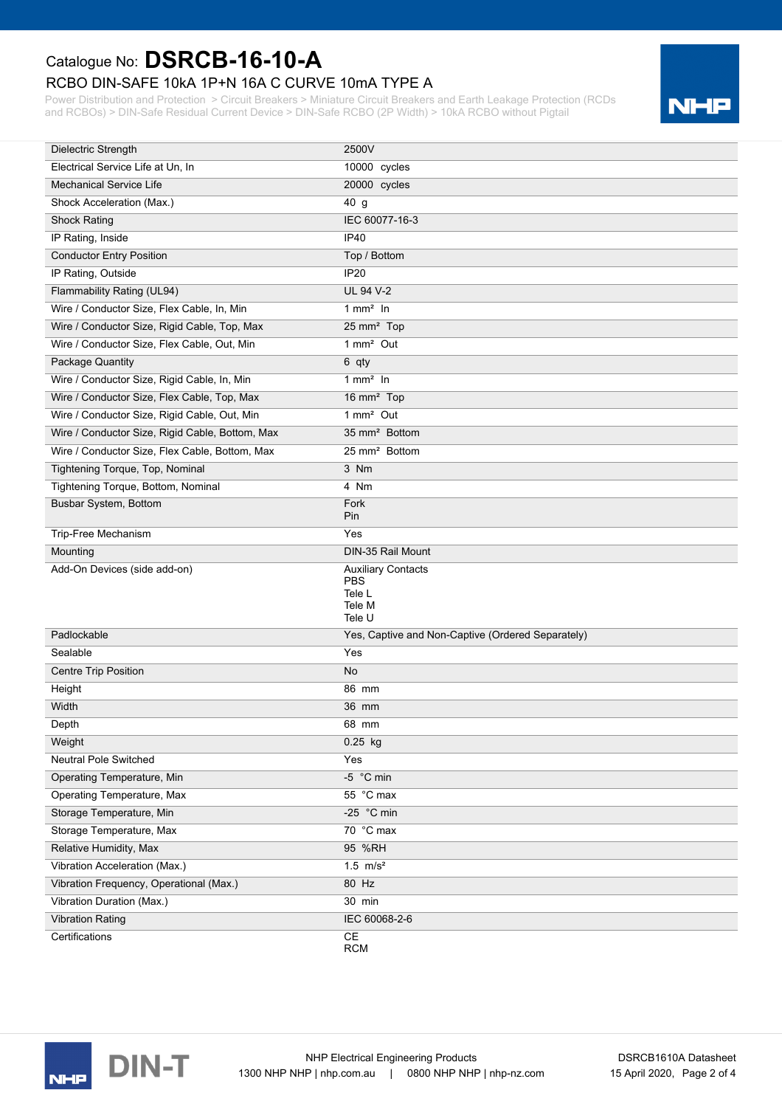### RCBO DIN-SAFE 10kA 1P+N 16A C CURVE 10mA TYPE A

Power Distribution and Protection > Circuit Breakers > Miniature Circuit Breakers and Earth Leakage Protection (RCDs and RCBOs) > DIN-Safe Residual Current Device > DIN-Safe RCBO (2P Width) > 10kA RCBO without Pigtail



| Dielectric Strength                             | 2500V                                                                 |
|-------------------------------------------------|-----------------------------------------------------------------------|
| Electrical Service Life at Un, In               | 10000 cycles                                                          |
| <b>Mechanical Service Life</b>                  | 20000 cycles                                                          |
| Shock Acceleration (Max.)                       | 40 g                                                                  |
| <b>Shock Rating</b>                             | IEC 60077-16-3                                                        |
| IP Rating, Inside                               | <b>IP40</b>                                                           |
| <b>Conductor Entry Position</b>                 | Top / Bottom                                                          |
| IP Rating, Outside                              | <b>IP20</b>                                                           |
| Flammability Rating (UL94)                      | <b>UL 94 V-2</b>                                                      |
| Wire / Conductor Size, Flex Cable, In, Min      | $1$ mm <sup>2</sup> In                                                |
| Wire / Conductor Size, Rigid Cable, Top, Max    | 25 mm <sup>2</sup> Top                                                |
| Wire / Conductor Size, Flex Cable, Out, Min     | 1 mm <sup>2</sup> Out                                                 |
| Package Quantity                                | 6 qty                                                                 |
| Wire / Conductor Size, Rigid Cable, In, Min     | $1$ mm <sup>2</sup> In                                                |
| Wire / Conductor Size, Flex Cable, Top, Max     | 16 mm <sup>2</sup> Top                                                |
| Wire / Conductor Size, Rigid Cable, Out, Min    | 1 mm <sup>2</sup> Out                                                 |
| Wire / Conductor Size, Rigid Cable, Bottom, Max | 35 mm <sup>2</sup> Bottom                                             |
| Wire / Conductor Size, Flex Cable, Bottom, Max  | 25 mm <sup>2</sup> Bottom                                             |
| Tightening Torque, Top, Nominal                 | 3 Nm                                                                  |
| Tightening Torque, Bottom, Nominal              | 4 Nm                                                                  |
| Busbar System, Bottom                           | Fork<br>Pin                                                           |
| Trip-Free Mechanism                             | Yes                                                                   |
|                                                 |                                                                       |
| Mounting                                        | DIN-35 Rail Mount                                                     |
| Add-On Devices (side add-on)                    | <b>Auxiliary Contacts</b><br><b>PBS</b><br>Tele L<br>Tele M<br>Tele U |
| Padlockable                                     | Yes, Captive and Non-Captive (Ordered Separately)                     |
| Sealable                                        | Yes                                                                   |
| <b>Centre Trip Position</b>                     | No                                                                    |
| Height                                          | 86 mm                                                                 |
| Width                                           | 36 mm                                                                 |
| Depth                                           | 68 mm                                                                 |
| Weight                                          | 0.25 kg                                                               |
| Neutral Pole Switched                           | Yes                                                                   |
| Operating Temperature, Min                      | -5 °C min                                                             |
| Operating Temperature, Max                      | 55 °C max                                                             |
| Storage Temperature, Min                        | -25 °C min                                                            |
| Storage Temperature, Max                        | 70 °C max                                                             |
| Relative Humidity, Max                          | 95 %RH                                                                |
| Vibration Acceleration (Max.)                   | 1.5 $m/s^2$                                                           |
| Vibration Frequency, Operational (Max.)         | 80 Hz                                                                 |
| Vibration Duration (Max.)                       | 30 min                                                                |
| <b>Vibration Rating</b>                         | IEC 60068-2-6                                                         |

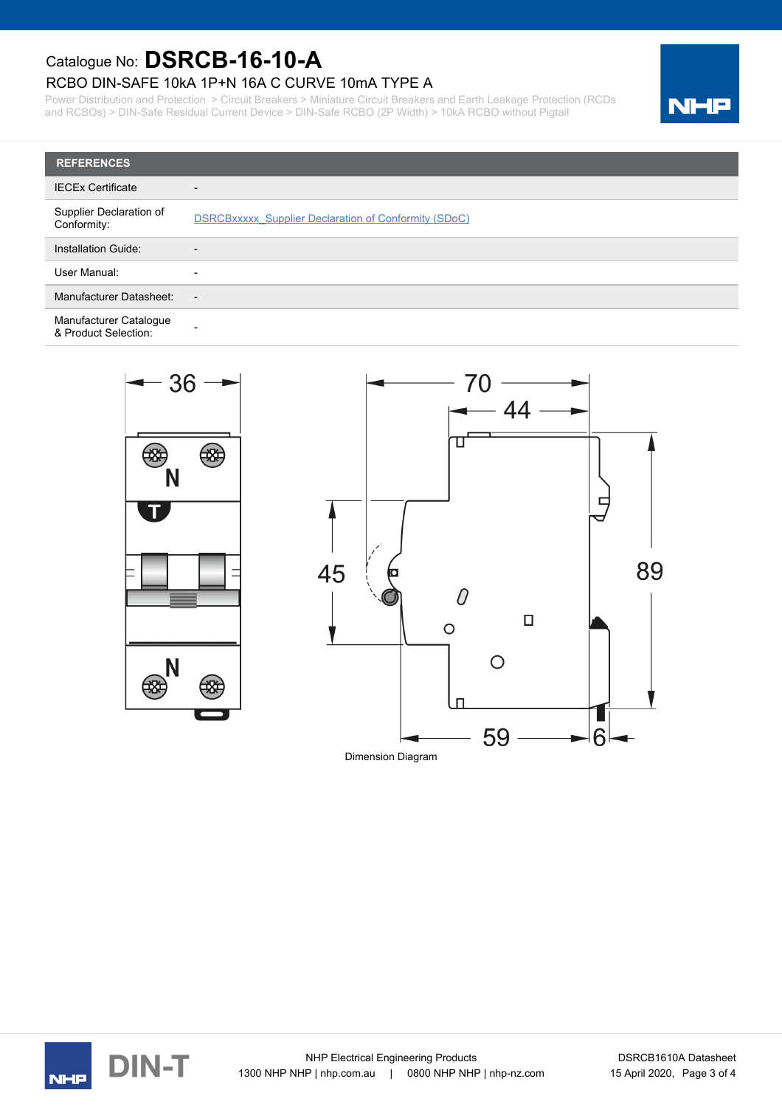### RCBO DIN-SAFE 10kA 1P+N 16A C CURVE 10mA TYPE A

Power Distribution and Protection > Circuit Breakers > Miniature Circuit Breakers and Earth Leakage Protection (RCDs and RCBOs) > DIN-Safe Residual Current Device > DIN-Safe RCBO (2P Width) > 10kA RCBO without Pigtail